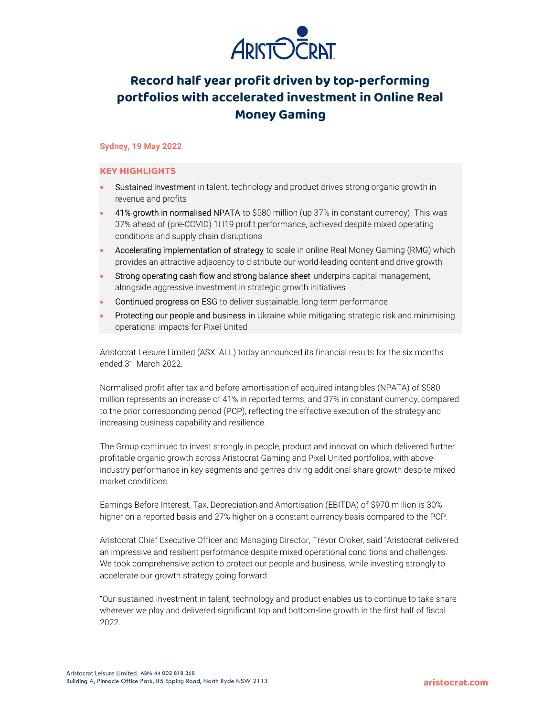

# Record half year profit driven by top-performing portfolios with accelerated investment in Online Real Money Gaming

## Sydney, 19 May 2022

## KEY HIGHLIGHTS

- Sustained investment in talent, technology and product drives strong organic growth in revenue and profits
- 41% growth in normalised NPATA to \$580 million (up 37% in constant currency). This was 37% ahead of (pre-COVID) 1H19 profit performance, achieved despite mixed operating conditions and supply chain disruptions
- Accelerating implementation of strategy to scale in online Real Money Gaming (RMG) which provides an attractive adjacency to distribute our world-leading content and drive growth
- Strong operating cash flow and strong balance sheet underpins capital management, alongside aggressive investment in strategic growth initiatives
- Continued progress on ESG to deliver sustainable, long-term performance
- Protecting our people and business in Ukraine while mitigating strategic risk and minimising operational impacts for Pixel United

Aristocrat Leisure Limited (ASX: ALL) today announced its financial results for the six months ended 31 March 2022.

Normalised profit after tax and before amortisation of acquired intangibles (NPATA) of \$580 million represents an increase of 41% in reported terms, and 37% in constant currency, compared to the prior corresponding period (PCP), reflecting the effective execution of the strategy and increasing business capability and resilience.

The Group continued to invest strongly in people, product and innovation which delivered further profitable organic growth across Aristocrat Gaming and Pixel United portfolios, with aboveindustry performance in key segments and genres driving additional share growth despite mixed market conditions.

Earnings Before Interest, Tax, Depreciation and Amortisation (EBITDA) of \$970 million is 30% higher on a reported basis and 27% higher on a constant currency basis compared to the PCP.

Aristocrat Chief Executive Officer and Managing Director, Trevor Croker, said "Aristocrat delivered an impressive and resilient performance despite mixed operational conditions and challenges. We took comprehensive action to protect our people and business, while investing strongly to accelerate our growth strategy going forward.

"Our sustained investment in talent, technology and product enables us to continue to take share wherever we play and delivered significant top and bottom-line growth in the first half of fiscal 2022.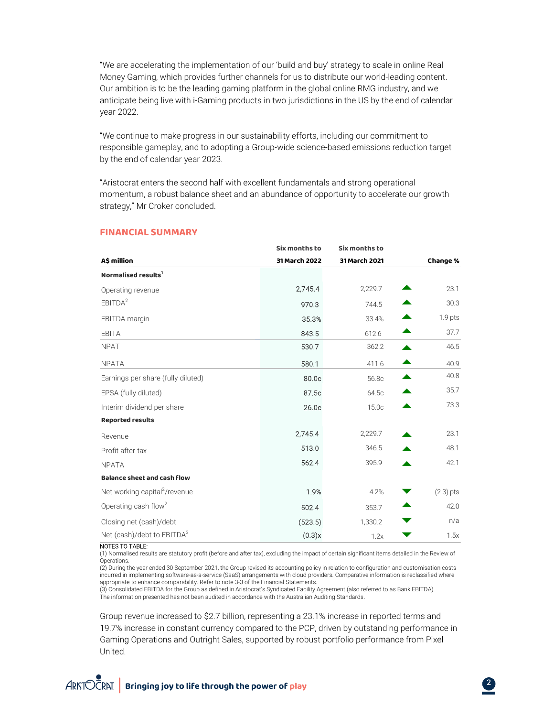"We are accelerating the implementation of our 'build and buy' strategy to scale in online Real Money Gaming, which provides further channels for us to distribute our world-leading content. Our ambition is to be the leading gaming platform in the global online RMG industry, and we anticipate being live with i-Gaming products in two jurisdictions in the US by the end of calendar year 2022.

"We continue to make progress in our sustainability efforts, including our commitment to responsible gameplay, and to adopting a Group-wide science-based emissions reduction target by the end of calendar year 2023.

| by the end of calendar year 2023.<br>"Aristocrat enters the second half with excellent fundamentals and strong operational<br>momentum, a robust balance sheet and an abundance of opportunity to accelerate our growth<br>strategy," Mr Croker concluded. |                                |                                |                                     |  |
|------------------------------------------------------------------------------------------------------------------------------------------------------------------------------------------------------------------------------------------------------------|--------------------------------|--------------------------------|-------------------------------------|--|
|                                                                                                                                                                                                                                                            |                                |                                |                                     |  |
| A\$ million                                                                                                                                                                                                                                                | Six months to<br>31 March 2022 | Six months to<br>31 March 2021 | Change %                            |  |
| Normalised results <sup>1</sup>                                                                                                                                                                                                                            |                                |                                |                                     |  |
| Operating revenue                                                                                                                                                                                                                                          | 2,745.4                        | 2,229.7                        | 23.1                                |  |
| EBITDA <sup>2</sup>                                                                                                                                                                                                                                        | 970.3                          | 744.5                          | 30.3<br>▲                           |  |
| EBITDA margin                                                                                                                                                                                                                                              | 35.3%                          | 33.4%                          | $1.9$ pts                           |  |
| EBITA                                                                                                                                                                                                                                                      | 843.5                          | 612.6                          | 37.7<br>▲                           |  |
| <b>NPAT</b>                                                                                                                                                                                                                                                | 530.7                          | 362.2                          | 46.5<br>▲                           |  |
| <b>NPATA</b>                                                                                                                                                                                                                                               | 580.1                          | 411.6                          | 40.9<br>▲                           |  |
| Earnings per share (fully diluted)                                                                                                                                                                                                                         | 80.0c                          | 56.8c                          | 40.8<br>▲                           |  |
| EPSA (fully diluted)                                                                                                                                                                                                                                       | 87.5c                          | 64.5c                          | 35.7<br>▲                           |  |
| Interim dividend per share                                                                                                                                                                                                                                 | 26.0c                          | 15.0c                          | 73.3<br>▲                           |  |
| <b>Reported results</b>                                                                                                                                                                                                                                    |                                |                                |                                     |  |
| Revenue                                                                                                                                                                                                                                                    | 2,745.4                        | 2,229.7                        | 23.1                                |  |
| Profit after tax                                                                                                                                                                                                                                           | 513.0                          | 346.5                          | 48.1                                |  |
| <b>NPATA</b>                                                                                                                                                                                                                                               | 562.4                          | 395.9                          | 42.1                                |  |
| <b>Balance sheet and cash flow</b>                                                                                                                                                                                                                         |                                |                                |                                     |  |
| Net working capital <sup>2</sup> /revenue                                                                                                                                                                                                                  | 1.9%                           | 4.2%                           | $(2.3)$ pts<br>$\blacktriangledown$ |  |
| Operating cash flow <sup>2</sup>                                                                                                                                                                                                                           | 502.4                          | 353.7                          | 42.0<br>▲                           |  |
| Closing net (cash)/debt                                                                                                                                                                                                                                    | (523.5)                        | 1,330.2                        | n/a<br>▼                            |  |
| Net (cash)/debt to EBITDA <sup>3</sup>                                                                                                                                                                                                                     | (0.3)x                         | 1.2x                           | 1.5x<br>▼                           |  |

## FINANCIAL SUMMARY

#### NOTES TO TABLE:

(1) Normalised results are statutory profit (before and after tax), excluding the impact of certain significant items detailed in the Review of Operations.

(2) During the year ended 30 September 2021, the Group revised its accounting policy in relation to configuration and customisation costs incurred in implementing software-as-a-service (SaaS) arrangements with cloud providers. Comparative information is reclassified where appropriate to enhance comparability. Refer to note 3-3 of the Financial Statements.

(3) Consolidated EBITDA for the Group as defined in Aristocrat's Syndicated Facility Agreement (also referred to as Bank EBITDA). The information presented has not been audited in accordance with the Australian Auditing Standards.

Group revenue increased to \$2.7 billion, representing a 23.1% increase in reported terms and 19.7% increase in constant currency compared to the PCP, driven by outstanding performance in Gaming Operations and Outright Sales, supported by robust portfolio performance from Pixel United.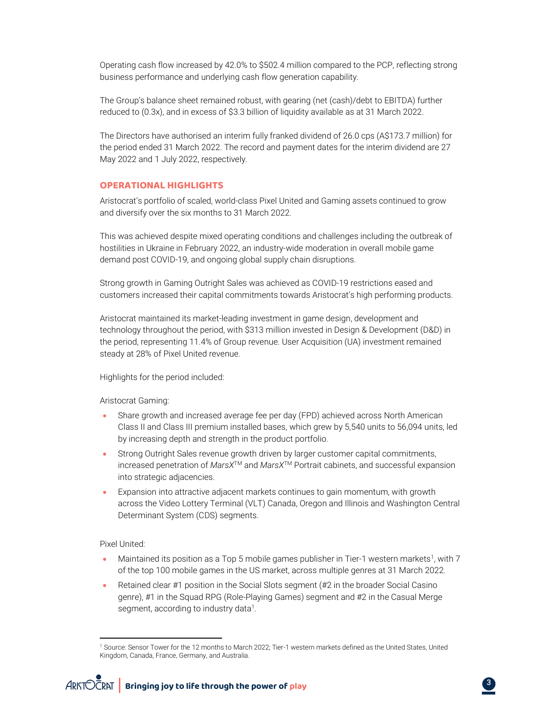Operating cash flow increased by 42.0% to \$502.4 million compared to the PCP, reflecting strong business performance and underlying cash flow generation capability.

The Group's balance sheet remained robust, with gearing (net (cash)/debt to EBITDA) further reduced to (0.3x), and in excess of \$3.3 billion of liquidity available as at 31 March 2022.

The Directors have authorised an interim fully franked dividend of 26.0 cps (A\$173.7 million) for the period ended 31 March 2022. The record and payment dates for the interim dividend are 27 May 2022 and 1 July 2022, respectively.

## OPERATIONAL HIGHLIGHTS

Aristocrat's portfolio of scaled, world-class Pixel United and Gaming assets continued to grow and diversify over the six months to 31 March 2022.

This was achieved despite mixed operating conditions and challenges including the outbreak of hostilities in Ukraine in February 2022, an industry-wide moderation in overall mobile game demand post COVID-19, and ongoing global supply chain disruptions.

Strong growth in Gaming Outright Sales was achieved as COVID-19 restrictions eased and customers increased their capital commitments towards Aristocrat's high performing products.

Aristocrat maintained its market-leading investment in game design, development and technology throughout the period, with \$313 million invested in Design & Development (D&D) in the period, representing 11.4% of Group revenue. User Acquisition (UA) investment remained steady at 28% of Pixel United revenue.

Highlights for the period included:

Aristocrat Gaming:

- Share growth and increased average fee per day (FPD) achieved across North American Class II and Class III premium installed bases, which grew by 5,540 units to 56,094 units, led by increasing depth and strength in the product portfolio.
- Strong Outright Sales revenue growth driven by larger customer capital commitments, increased penetration of MarsX<sup>™</sup> and MarsX<sup>™</sup> Portrait cabinets, and successful expansion into strategic adjacencies.
- Expansion into attractive adjacent markets continues to gain momentum, with growth across the Video Lottery Terminal (VLT) Canada, Oregon and Illinois and Washington Central Determinant System (CDS) segments.

Pixel United:

- Maintained its position as a Top 5 mobile games publisher in Tier-1 western markets<sup>1</sup>, with 7 of the top 100 mobile games in the US market, across multiple genres at 31 March 2022.
- Retained clear #1 position in the Social Slots segment (#2 in the broader Social Casino genre), #1 in the Squad RPG (Role-Playing Games) segment and #2 in the Casual Merge segment, according to industry data<sup>1</sup>.

<sup>1</sup> Source: Sensor Tower for the 12 months to March 2022; Tier-1 western markets defined as the United States, United Kingdom, Canada, France, Germany, and Australia.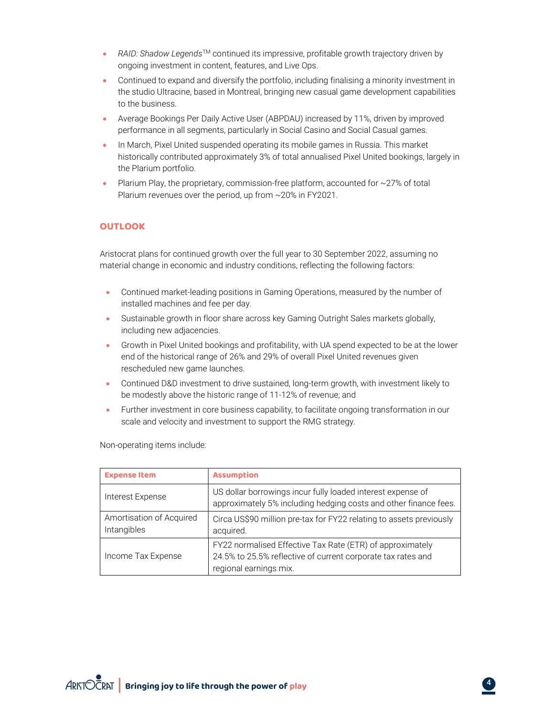- RAID: Shadow Legends<sup>TM</sup> continued its impressive, profitable growth trajectory driven by ongoing investment in content, features, and Live Ops.
- Continued to expand and diversify the portfolio, including finalising a minority investment in the studio Ultracine, based in Montreal, bringing new casual game development capabilities to the business.
- Average Bookings Per Daily Active User (ABPDAU) increased by 11%, driven by improved performance in all segments, particularly in Social Casino and Social Casual games.
- In March, Pixel United suspended operating its mobile games in Russia. This market historically contributed approximately 3% of total annualised Pixel United bookings, largely in the Plarium portfolio.
- Plarium Play, the proprietary, commission-free platform, accounted for ~27% of total Plarium revenues over the period, up from ~20% in FY2021.

## **OUTLOOK**

Aristocrat plans for continued growth over the full year to 30 September 2022, assuming no material change in economic and industry conditions, reflecting the following factors:

- Continued market-leading positions in Gaming Operations, measured by the number of installed machines and fee per day.
- Sustainable growth in floor share across key Gaming Outright Sales markets globally, including new adjacencies.
- Growth in Pixel United bookings and profitability, with UA spend expected to be at the lower end of the historical range of 26% and 29% of overall Pixel United revenues given rescheduled new game launches.
- Continued D&D investment to drive sustained, long-term growth, with investment likely to be modestly above the historic range of 11-12% of revenue; and
- Further investment in core business capability, to facilitate ongoing transformation in our scale and velocity and investment to support the RMG strategy.

| <b>Expense Item</b>                     | <b>Assumption</b>                                                                                                                                   |  |
|-----------------------------------------|-----------------------------------------------------------------------------------------------------------------------------------------------------|--|
| Interest Expense                        | US dollar borrowings incur fully loaded interest expense of<br>approximately 5% including hedging costs and other finance fees.                     |  |
| Amortisation of Acquired<br>Intangibles | Circa US\$90 million pre-tax for FY22 relating to assets previously<br>acquired.                                                                    |  |
| Income Tax Expense                      | FY22 normalised Effective Tax Rate (ETR) of approximately<br>24.5% to 25.5% reflective of current corporate tax rates and<br>regional earnings mix. |  |

.

Non-operating items include: